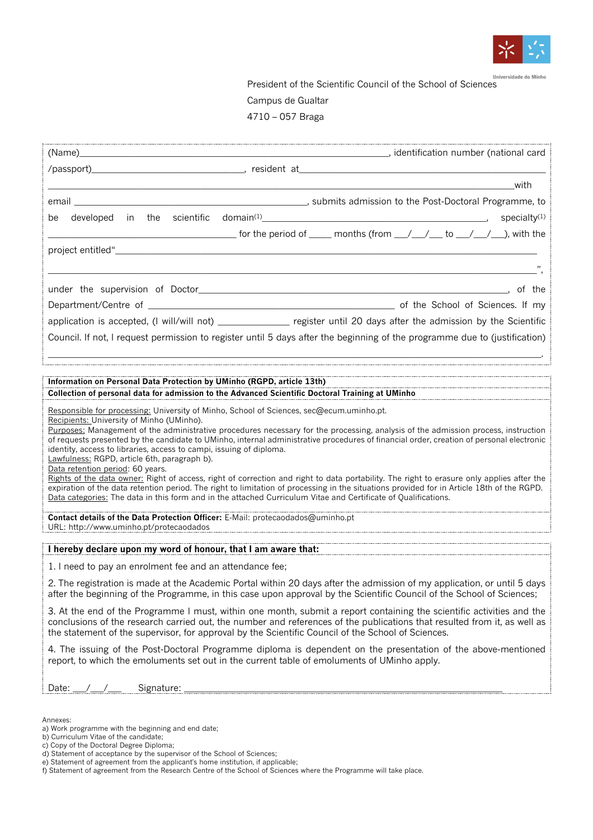

Universidade do Minho

President of the Scientific Council of the School of Sciences Campus de Gualtar

4710 – 057 Braga

|                                                                                                                                                                                                                                                                                                                                                         | <b>Example 2018</b> With                                                                                                                                                                                                                                     |  |  |  |
|---------------------------------------------------------------------------------------------------------------------------------------------------------------------------------------------------------------------------------------------------------------------------------------------------------------------------------------------------------|--------------------------------------------------------------------------------------------------------------------------------------------------------------------------------------------------------------------------------------------------------------|--|--|--|
|                                                                                                                                                                                                                                                                                                                                                         |                                                                                                                                                                                                                                                              |  |  |  |
| be                                                                                                                                                                                                                                                                                                                                                      | developed in the scientific domain <sup>(1)</sup> 1999 and 1999 and 1999 and 1999 and 1999 and 1999 and 1999 and 1999 and 1<br>specialty <sup>(1)</sup>                                                                                                      |  |  |  |
|                                                                                                                                                                                                                                                                                                                                                         | $\sim$ for the period of $\sim$ months (from $\sim$ / $\sim$ to $\sim$ / $\sim$ ), with the                                                                                                                                                                  |  |  |  |
|                                                                                                                                                                                                                                                                                                                                                         |                                                                                                                                                                                                                                                              |  |  |  |
|                                                                                                                                                                                                                                                                                                                                                         |                                                                                                                                                                                                                                                              |  |  |  |
|                                                                                                                                                                                                                                                                                                                                                         |                                                                                                                                                                                                                                                              |  |  |  |
|                                                                                                                                                                                                                                                                                                                                                         |                                                                                                                                                                                                                                                              |  |  |  |
|                                                                                                                                                                                                                                                                                                                                                         | application is accepted, (I will/will not) _______________ register until 20 days after the admission by the Scientific                                                                                                                                      |  |  |  |
|                                                                                                                                                                                                                                                                                                                                                         | Council. If not, I request permission to register until 5 days after the beginning of the programme due to (justification)                                                                                                                                   |  |  |  |
|                                                                                                                                                                                                                                                                                                                                                         |                                                                                                                                                                                                                                                              |  |  |  |
|                                                                                                                                                                                                                                                                                                                                                         |                                                                                                                                                                                                                                                              |  |  |  |
| Information on Personal Data Protection by UMinho (RGPD, article 13th)                                                                                                                                                                                                                                                                                  |                                                                                                                                                                                                                                                              |  |  |  |
|                                                                                                                                                                                                                                                                                                                                                         | Collection of personal data for admission to the Advanced Scientific Doctoral Training at UMinho                                                                                                                                                             |  |  |  |
| Responsible for processing: University of Minho, School of Sciences, sec@ecum.uminho.pt.<br>Recipients: University of Minho (UMinho).                                                                                                                                                                                                                   |                                                                                                                                                                                                                                                              |  |  |  |
| Purposes: Management of the administrative procedures necessary for the processing, analysis of the admission process, instruction                                                                                                                                                                                                                      |                                                                                                                                                                                                                                                              |  |  |  |
| of requests presented by the candidate to UMinho, internal administrative procedures of financial order, creation of personal electronic<br>identity, access to libraries, access to campi, issuing of diploma.                                                                                                                                         |                                                                                                                                                                                                                                                              |  |  |  |
| Lawfulness: RGPD, article 6th, paragraph b).<br>Data retention period: 60 years.                                                                                                                                                                                                                                                                        |                                                                                                                                                                                                                                                              |  |  |  |
|                                                                                                                                                                                                                                                                                                                                                         | Rights of the data owner: Right of access, right of correction and right to data portability. The right to erasure only applies after the                                                                                                                    |  |  |  |
|                                                                                                                                                                                                                                                                                                                                                         | expiration of the data retention period. The right to limitation of processing in the situations provided for in Article 18th of the RGPD.<br>Data categories: The data in this form and in the attached Curriculum Vitae and Certificate of Qualifications. |  |  |  |
|                                                                                                                                                                                                                                                                                                                                                         |                                                                                                                                                                                                                                                              |  |  |  |
| Contact details of the Data Protection Officer: E-Mail: protecaodados@uminho.pt<br>URL: http://www.uminho.pt/protecaodados                                                                                                                                                                                                                              |                                                                                                                                                                                                                                                              |  |  |  |
|                                                                                                                                                                                                                                                                                                                                                         |                                                                                                                                                                                                                                                              |  |  |  |
|                                                                                                                                                                                                                                                                                                                                                         | I hereby declare upon my word of honour, that I am aware that: Network and the case of the control of the control of                                                                                                                                         |  |  |  |
| 1. I need to pay an enrolment fee and an attendance fee;                                                                                                                                                                                                                                                                                                |                                                                                                                                                                                                                                                              |  |  |  |
| 2. The registration is made at the Academic Portal within 20 days after the admission of my application, or until 5 days<br>after the beginning of the Programme, in this case upon approval by the Scientific Council of the School of Sciences;                                                                                                       |                                                                                                                                                                                                                                                              |  |  |  |
| 3. At the end of the Programme I must, within one month, submit a report containing the scientific activities and the<br>conclusions of the research carried out, the number and references of the publications that resulted from it, as well as<br>the statement of the supervisor, for approval by the Scientific Council of the School of Sciences. |                                                                                                                                                                                                                                                              |  |  |  |
| 4. The issuing of the Post-Doctoral Programme diploma is dependent on the presentation of the above-mentioned<br>report, to which the emoluments set out in the current table of emoluments of UMinho apply.                                                                                                                                            |                                                                                                                                                                                                                                                              |  |  |  |
| Signature: _<br>Date:                                                                                                                                                                                                                                                                                                                                   |                                                                                                                                                                                                                                                              |  |  |  |
|                                                                                                                                                                                                                                                                                                                                                         |                                                                                                                                                                                                                                                              |  |  |  |

Annexes:

a) Work programme with the beginning and end date;

b) Curriculum Vitae of the candidate;

c) Copy of the Doctoral Degree Diploma;

d) Statement of acceptance by the supervisor of the School of Sciences;

e) Statement of agreement from the applicant's home institution, if applicable;

f) Statement of agreement from the Research Centre of the School of Sciences where the Programme will take place.